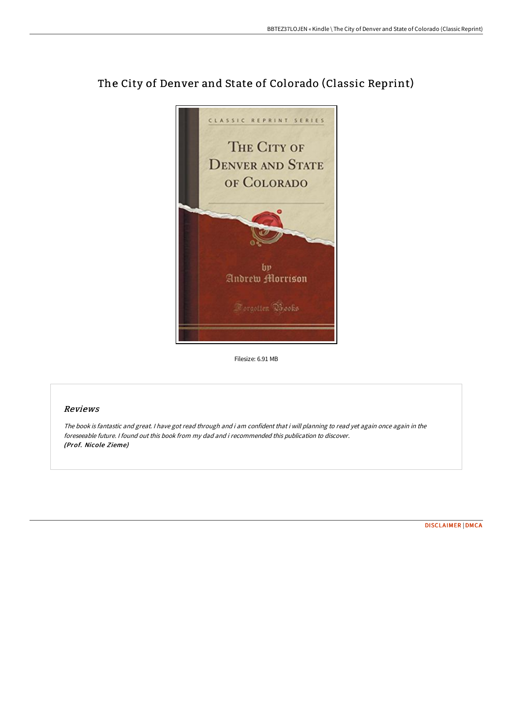

## The City of Denver and State of Colorado (Classic Reprint)

Filesize: 6.91 MB

## Reviews

The book is fantastic and great. <sup>I</sup> have got read through and i am confident that i will planning to read yet again once again in the foreseeable future. I found out this book from my dad and i recommended this publication to discover. (Prof. Nicole Zieme)

[DISCLAIMER](http://techno-pub.tech/disclaimer.html) | [DMCA](http://techno-pub.tech/dmca.html)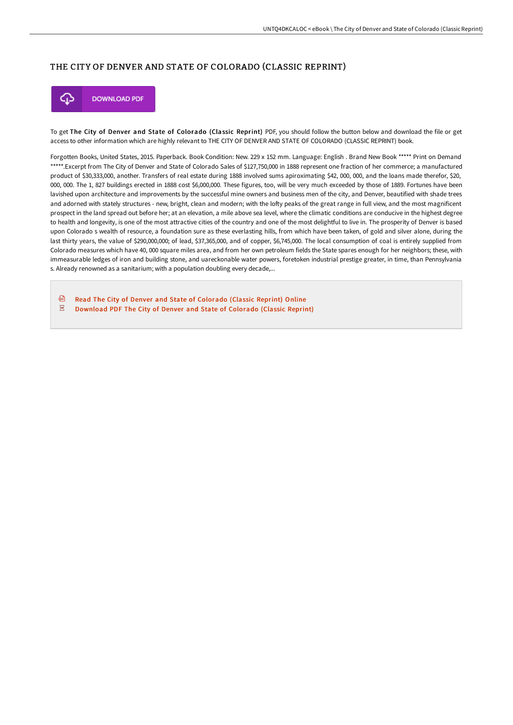## THE CITY OF DENVER AND STATE OF COLORADO (CLASSIC REPRINT)



To get The City of Denver and State of Colorado (Classic Reprint) PDF, you should follow the button below and download the file or get access to other information which are highly relevant to THE CITY OF DENVER AND STATE OF COLORADO (CLASSIC REPRINT) book.

Forgotten Books, United States, 2015. Paperback. Book Condition: New. 229 x 152 mm. Language: English . Brand New Book \*\*\*\*\* Print on Demand \*\*\*\*\*.Excerpt from The City of Denver and State of Colorado Sales of \$127,750,000 in 1888 represent one fraction of her commerce; a manufactured product of \$30,333,000, another. Transfers of real estate during 1888 involved sums apiroximating \$42, 000, 000, and the loans made therefor, \$20, 000, 000. The 1, 827 buildings erected in 1888 cost \$6,000,000. These figures, too, will be very much exceeded by those of 1889. Fortunes have been lavished upon architecture and improvements by the successful mine owners and business men of the city, and Denver, beautified with shade trees and adorned with stately structures - new, bright, clean and modern; with the lofty peaks of the great range in full view, and the most magnificent prospect in the land spread out before her; at an elevation, a mile above sea level, where the climatic conditions are conducive in the highest degree to health and longevity, is one of the most attractive cities of the country and one of the most delightful to live in. The prosperity of Denver is based upon Colorado s wealth of resource, a foundation sure as these everlasting hills, from which have been taken, of gold and silver alone, during the last thirty years, the value of \$290,000,000; of lead, \$37,365,000, and of copper, \$6,745,000. The local consumption of coal is entirely supplied from Colorado measures which have 40, 000 square miles area, and from her own petroleum fields the State spares enough for her neighbors; these, with immeasurable ledges of iron and building stone, and uareckonable water powers, foretoken industrial prestige greater, in time, than Pennsylvania s. Already renowned as a sanitarium; with a population doubling every decade,...

画 Read The City of Denver and State of [Colorado](http://techno-pub.tech/the-city-of-denver-and-state-of-colorado-classic.html) (Classic Reprint) Online  $\overline{\mathbf{P}^{\text{RF}}}$ [Download](http://techno-pub.tech/the-city-of-denver-and-state-of-colorado-classic.html) PDF The City of Denver and State of Colorado (Classic Reprint)